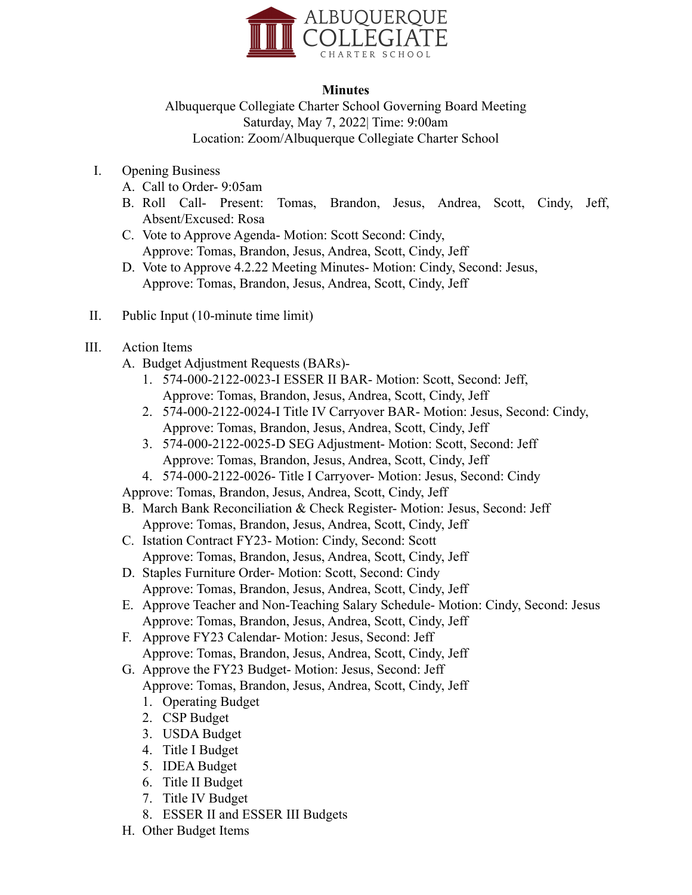

## **Minutes**

Albuquerque Collegiate Charter School Governing Board Meeting Saturday, May 7, 2022| Time: 9:00am Location: Zoom/Albuquerque Collegiate Charter School

- I. Opening Business
	- A. Call to Order- 9:05am
	- B. Roll Call- Present: Tomas, Brandon, Jesus, Andrea, Scott, Cindy, Jeff, Absent/Excused: Rosa
	- C. Vote to Approve Agenda- Motion: Scott Second: Cindy, Approve: Tomas, Brandon, Jesus, Andrea, Scott, Cindy, Jeff
	- D. Vote to Approve 4.2.22 Meeting Minutes- Motion: Cindy, Second: Jesus, Approve: Tomas, Brandon, Jesus, Andrea, Scott, Cindy, Jeff
- II. Public Input (10-minute time limit)
- III. Action Items
	- A. Budget Adjustment Requests (BARs)-
		- 1. 574-000-2122-0023-I ESSER II BAR- Motion: Scott, Second: Jeff, Approve: Tomas, Brandon, Jesus, Andrea, Scott, Cindy, Jeff
		- 2. 574-000-2122-0024-I Title IV Carryover BAR- Motion: Jesus, Second: Cindy, Approve: Tomas, Brandon, Jesus, Andrea, Scott, Cindy, Jeff
		- 3. 574-000-2122-0025-D SEG Adjustment- Motion: Scott, Second: Jeff Approve: Tomas, Brandon, Jesus, Andrea, Scott, Cindy, Jeff
		- 4. 574-000-2122-0026- Title I Carryover- Motion: Jesus, Second: Cindy

Approve: Tomas, Brandon, Jesus, Andrea, Scott, Cindy, Jeff

- B. March Bank Reconciliation & Check Register- Motion: Jesus, Second: Jeff Approve: Tomas, Brandon, Jesus, Andrea, Scott, Cindy, Jeff
- C. Istation Contract FY23- Motion: Cindy, Second: Scott Approve: Tomas, Brandon, Jesus, Andrea, Scott, Cindy, Jeff
- D. Staples Furniture Order- Motion: Scott, Second: Cindy Approve: Tomas, Brandon, Jesus, Andrea, Scott, Cindy, Jeff
- E. Approve Teacher and Non-Teaching Salary Schedule- Motion: Cindy, Second: Jesus Approve: Tomas, Brandon, Jesus, Andrea, Scott, Cindy, Jeff
- F. Approve FY23 Calendar- Motion: Jesus, Second: Jeff Approve: Tomas, Brandon, Jesus, Andrea, Scott, Cindy, Jeff
- G. Approve the FY23 Budget- Motion: Jesus, Second: Jeff Approve: Tomas, Brandon, Jesus, Andrea, Scott, Cindy, Jeff
	- 1. Operating Budget
	- 2. CSP Budget
	- 3. USDA Budget
	- 4. Title I Budget
	- 5. IDEA Budget
	- 6. Title II Budget
	- 7. Title IV Budget
	- 8. ESSER II and ESSER III Budgets
- H. Other Budget Items